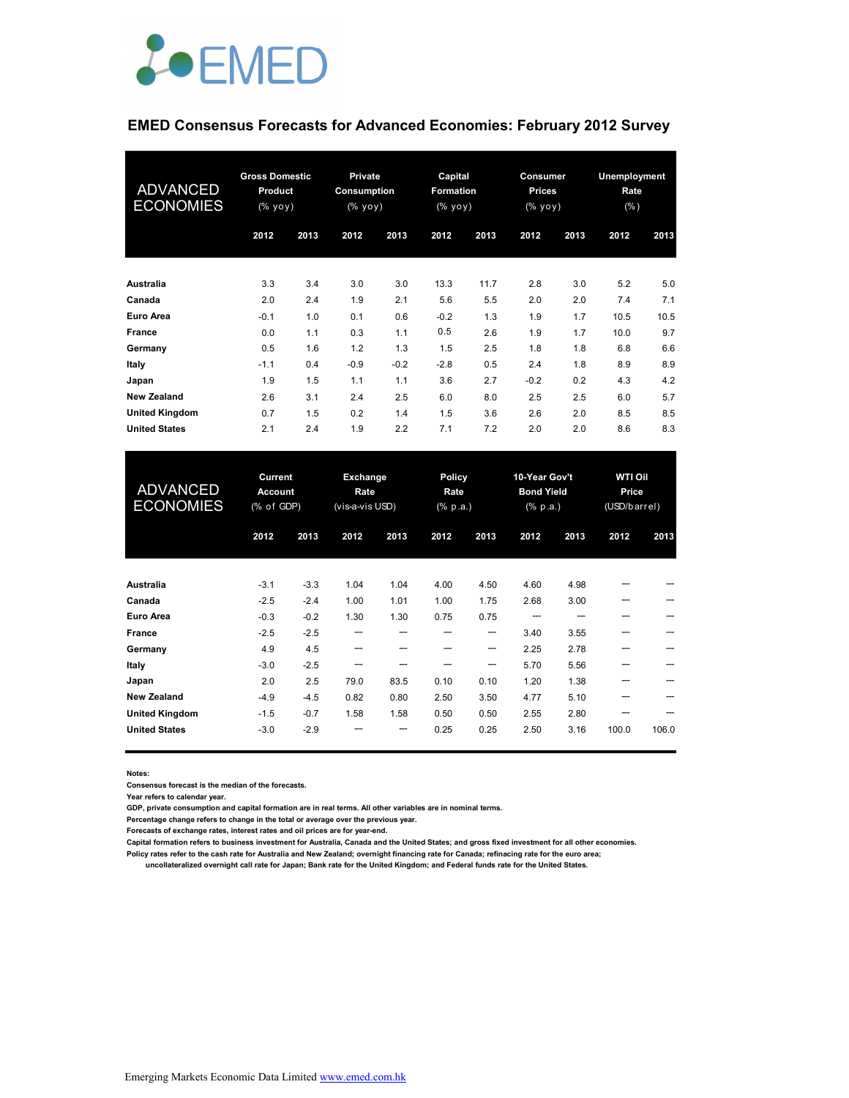

### **EMED Consensus Forecasts for Advanced Economies: February 2012 Survey**

| <b>ADVANCED</b><br><b>ECONOMIES</b> | <b>Gross Domestic</b><br><b>Product</b><br>(% yoy) |      | <b>Private</b><br>Consumption<br>(% yoy) |        | Capital<br><b>Formation</b><br>(% yoy) |      | Consumer<br><b>Prices</b><br>(% yoy) |      | Unemployment<br>Rate<br>$(\% )$ |      |
|-------------------------------------|----------------------------------------------------|------|------------------------------------------|--------|----------------------------------------|------|--------------------------------------|------|---------------------------------|------|
|                                     | 2012                                               | 2013 | 2012                                     | 2013   | 2012                                   | 2013 | 2012                                 | 2013 | 2012                            | 2013 |
| Australia                           | 3.3                                                | 3.4  | 3.0                                      | 3.0    | 13.3                                   | 11.7 | 2.8                                  | 3.0  | 5.2                             | 5.0  |
| Canada                              | 2.0                                                | 2.4  | 1.9                                      | 2.1    | 5.6                                    | 5.5  | 2.0                                  | 2.0  | 7.4                             | 7.1  |
| <b>Euro Area</b>                    | $-0.1$                                             | 1.0  | 0.1                                      | 0.6    | $-0.2$                                 | 1.3  | 1.9                                  | 1.7  | 10.5                            | 10.5 |
| France                              | 0.0                                                | 1.1  | 0.3                                      | 1.1    | 0.5                                    | 2.6  | 1.9                                  | 1.7  | 10.0                            | 9.7  |
| Germany                             | 0.5                                                | 1.6  | 1.2                                      | 1.3    | 1.5                                    | 2.5  | 1.8                                  | 1.8  | 6.8                             | 6.6  |
| Italy                               | $-1.1$                                             | 0.4  | $-0.9$                                   | $-0.2$ | $-2.8$                                 | 0.5  | 2.4                                  | 1.8  | 8.9                             | 8.9  |
| Japan                               | 1.9                                                | 1.5  | 1.1                                      | 1.1    | 3.6                                    | 2.7  | $-0.2$                               | 0.2  | 4.3                             | 4.2  |
| <b>New Zealand</b>                  | 2.6                                                | 3.1  | 2.4                                      | 2.5    | 6.0                                    | 8.0  | 2.5                                  | 2.5  | 6.0                             | 5.7  |
| <b>United Kingdom</b>               | 0.7                                                | 1.5  | 0.2                                      | 1.4    | 1.5                                    | 3.6  | 2.6                                  | 2.0  | 8.5                             | 8.5  |
| <b>United States</b>                | 2.1                                                | 2.4  | 1.9                                      | 2.2    | 7.1                                    | 7.2  | 2.0                                  | 2.0  | 8.6                             | 8.3  |

| <b>ADVANCED</b><br><b>ECONOMIES</b> | Current<br><b>Account</b><br>(% of GDP) |        | <b>Exchange</b><br>Rate<br>(vis-a-vis USD) |      | Policy<br>Rate<br>(% p.a.) |      | 10-Year Gov't<br><b>Bond Yield</b><br>(% p.a.) |      | <b>WTI Oil</b><br>Price<br>(USD/barrel) |       |
|-------------------------------------|-----------------------------------------|--------|--------------------------------------------|------|----------------------------|------|------------------------------------------------|------|-----------------------------------------|-------|
|                                     | 2012                                    | 2013   | 2012                                       | 2013 | 2012                       | 2013 | 2012                                           | 2013 | 2012                                    | 2013  |
| <b>Australia</b>                    | $-3.1$                                  | $-3.3$ | 1.04                                       | 1.04 | 4.00                       | 4.50 | 4.60                                           | 4.98 |                                         |       |
| Canada                              | $-2.5$                                  | $-2.4$ | 1.00                                       | 1.01 | 1.00                       | 1.75 | 2.68                                           | 3.00 |                                         |       |
| Euro Area                           | $-0.3$                                  | $-0.2$ | 1.30                                       | 1.30 | 0.75                       | 0.75 |                                                |      |                                         |       |
| France                              | $-2.5$                                  | $-2.5$ | ---                                        | ---  | ---                        | ---  | 3.40                                           | 3.55 | ---                                     |       |
| Germany                             | 4.9                                     | 4.5    | ---                                        |      |                            | ---  | 2.25                                           | 2.78 |                                         |       |
| Italy                               | $-3.0$                                  | $-2.5$ | ---                                        |      |                            | ---  | 5.70                                           | 5.56 |                                         |       |
| Japan                               | 2.0                                     | 2.5    | 79.0                                       | 83.5 | 0.10                       | 0.10 | 1.20                                           | 1.38 |                                         |       |
| <b>New Zealand</b>                  | $-4.9$                                  | $-4.5$ | 0.82                                       | 0.80 | 2.50                       | 3.50 | 4.77                                           | 5.10 | ---                                     |       |
| <b>United Kingdom</b>               | $-1.5$                                  | $-0.7$ | 1.58                                       | 1.58 | 0.50                       | 0.50 | 2.55                                           | 2.80 |                                         |       |
| <b>United States</b>                | $-3.0$                                  | $-2.9$ |                                            | ---  | 0.25                       | 0.25 | 2.50                                           | 3.16 | 100.0                                   | 106.0 |

**Notes:** 

**Consensus forecast is the median of the forecasts.**

**Year refers to calendar year.**

**GDP, private consumption and capital formation are in real terms. All other variables are in nominal terms.**

**Percentage change refers to change in the total or average over the previous year.**

**Forecasts of exchange rates, interest rates and oil prices are for year-end.**

**Capital formation refers to business investment for Australia, Canada and the United States; and gross fixed investment for all other economies.**

**Policy rates refer to the cash rate for Australia and New Zealand; overnight financing rate for Canada; refinacing rate for the euro area;** 

 **uncollateralized overnight call rate for Japan; Bank rate for the United Kingdom; and Federal funds rate for the United States.**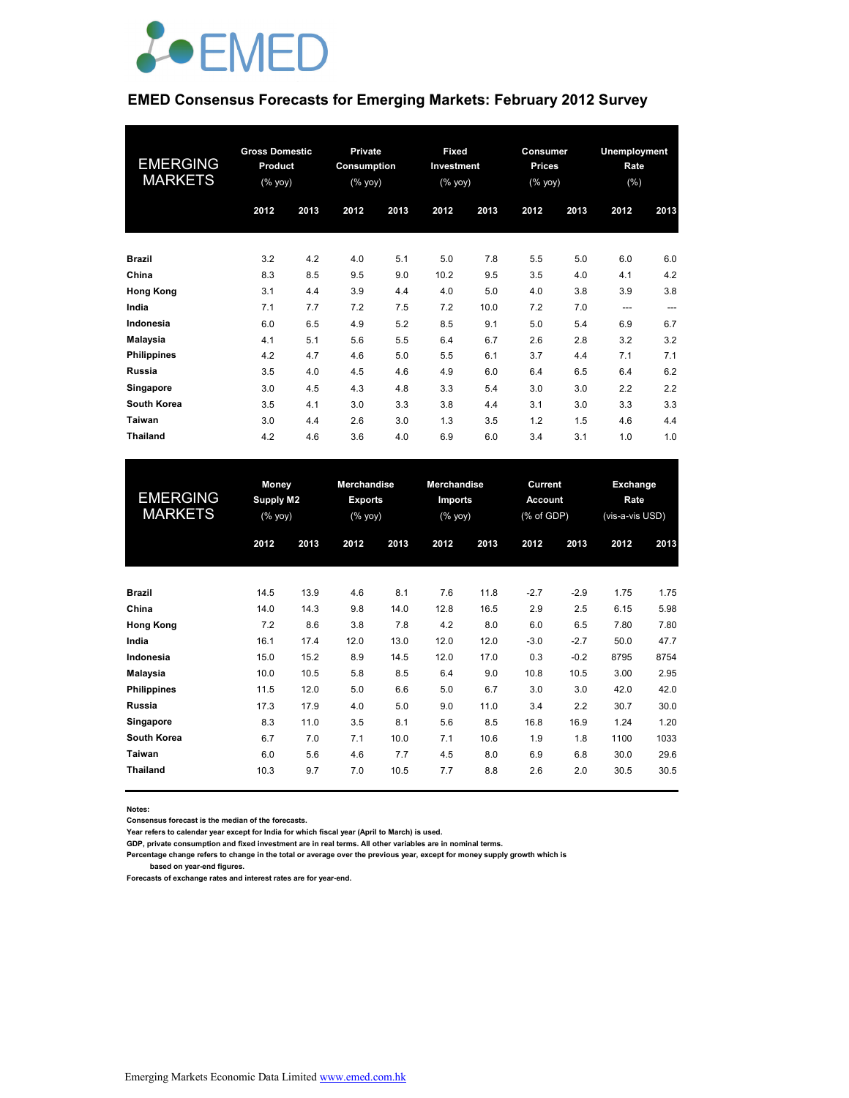

#### **EMED Consensus Forecasts for Emerging Markets: February 2012 Survey**

| <b>EMERGING</b><br><b>MARKETS</b> | <b>Gross Domestic</b><br><b>Product</b><br>$(\%$ yoy) |      | <b>Private</b><br>Consumption<br>(% |      | Fixed<br>Investment<br>(% yoy) |      | Consumer<br><b>Prices</b><br>$(% \mathsf{Y}\cup \mathsf{Y})$ (% $\mathsf{Y}\cup \mathsf{Y}$ |      | Unemployment<br>Rate<br>(% ) |      |
|-----------------------------------|-------------------------------------------------------|------|-------------------------------------|------|--------------------------------|------|---------------------------------------------------------------------------------------------|------|------------------------------|------|
|                                   | 2012                                                  | 2013 | 2012                                | 2013 | 2012                           | 2013 | 2012                                                                                        | 2013 | 2012                         | 2013 |
| <b>Brazil</b>                     | 3.2                                                   | 4.2  | 4.0                                 | 5.1  | 5.0                            | 7.8  | 5.5                                                                                         | 5.0  | 6.0                          | 6.0  |
| China                             | 8.3                                                   | 8.5  | 9.5                                 | 9.0  | 10.2                           | 9.5  | 3.5                                                                                         | 4.0  | 4.1                          | 4.2  |
| <b>Hong Kong</b>                  | 3.1                                                   | 4.4  | 3.9                                 | 4.4  | 4.0                            | 5.0  | 4.0                                                                                         | 3.8  | 3.9                          | 3.8  |
| India                             | 7.1                                                   | 7.7  | 7.2                                 | 7.5  | 7.2                            | 10.0 | 7.2                                                                                         | 7.0  | $---$                        | ---  |
| Indonesia                         | 6.0                                                   | 6.5  | 4.9                                 | 5.2  | 8.5                            | 9.1  | 5.0                                                                                         | 5.4  | 6.9                          | 6.7  |
| <b>Malaysia</b>                   | 4.1                                                   | 5.1  | 5.6                                 | 5.5  | 6.4                            | 6.7  | 2.6                                                                                         | 2.8  | 3.2                          | 3.2  |
| <b>Philippines</b>                | 4.2                                                   | 4.7  | 4.6                                 | 5.0  | 5.5                            | 6.1  | 3.7                                                                                         | 4.4  | 7.1                          | 7.1  |
| <b>Russia</b>                     | 3.5                                                   | 4.0  | 4.5                                 | 4.6  | 4.9                            | 6.0  | 6.4                                                                                         | 6.5  | 6.4                          | 6.2  |
| Singapore                         | 3.0                                                   | 4.5  | 4.3                                 | 4.8  | 3.3                            | 5.4  | 3.0                                                                                         | 3.0  | 2.2                          | 2.2  |
| South Korea                       | 3.5                                                   | 4.1  | 3.0                                 | 3.3  | 3.8                            | 4.4  | 3.1                                                                                         | 3.0  | 3.3                          | 3.3  |
| Taiwan                            | 3.0                                                   | 4.4  | 2.6                                 | 3.0  | 1.3                            | 3.5  | 1.2                                                                                         | 1.5  | 4.6                          | 4.4  |
| <b>Thailand</b>                   | 4.2                                                   | 4.6  | 3.6                                 | 4.0  | 6.9                            | 6.0  | 3.4                                                                                         | 3.1  | 1.0                          | 1.0  |

| <b>EMERGING</b><br><b>MARKETS</b> |      | Money<br>Supply M2<br>(% yoy) |      |      |      | <b>Merchandise</b><br><b>Exports</b><br>(% yoy) |        | <b>Merchandise</b><br>Imports<br>(% yoy) |      | Current<br><b>Account</b><br>(% of GDP) |  | Exchange<br>Rate<br>(vis-a-vis USD) |
|-----------------------------------|------|-------------------------------|------|------|------|-------------------------------------------------|--------|------------------------------------------|------|-----------------------------------------|--|-------------------------------------|
|                                   | 2012 | 2013                          | 2012 | 2013 | 2012 | 2013                                            | 2012   | 2013                                     | 2012 | 2013                                    |  |                                     |
| <b>Brazil</b>                     | 14.5 | 13.9                          | 4.6  | 8.1  | 7.6  | 11.8                                            | $-2.7$ | $-2.9$                                   | 1.75 | 1.75                                    |  |                                     |
| China                             | 14.0 | 14.3                          | 9.8  | 14.0 | 12.8 | 16.5                                            | 2.9    | 2.5                                      | 6.15 | 5.98                                    |  |                                     |
| <b>Hong Kong</b>                  | 7.2  | 8.6                           | 3.8  | 7.8  | 4.2  | 8.0                                             | 6.0    | 6.5                                      | 7.80 | 7.80                                    |  |                                     |
| India                             | 16.1 | 17.4                          | 12.0 | 13.0 | 12.0 | 12.0                                            | $-3.0$ | $-2.7$                                   | 50.0 | 47.7                                    |  |                                     |
| Indonesia                         | 15.0 | 15.2                          | 8.9  | 14.5 | 12.0 | 17.0                                            | 0.3    | $-0.2$                                   | 8795 | 8754                                    |  |                                     |
| <b>Malaysia</b>                   | 10.0 | 10.5                          | 5.8  | 8.5  | 6.4  | 9.0                                             | 10.8   | 10.5                                     | 3.00 | 2.95                                    |  |                                     |
| <b>Philippines</b>                | 11.5 | 12.0                          | 5.0  | 6.6  | 5.0  | 6.7                                             | 3.0    | 3.0                                      | 42.0 | 42.0                                    |  |                                     |
| <b>Russia</b>                     | 17.3 | 17.9                          | 4.0  | 5.0  | 9.0  | 11.0                                            | 3.4    | 2.2                                      | 30.7 | 30.0                                    |  |                                     |
| Singapore                         | 8.3  | 11.0                          | 3.5  | 8.1  | 5.6  | 8.5                                             | 16.8   | 16.9                                     | 1.24 | 1.20                                    |  |                                     |
| South Korea                       | 6.7  | 7.0                           | 7.1  | 10.0 | 7.1  | 10.6                                            | 1.9    | 1.8                                      | 1100 | 1033                                    |  |                                     |
| Taiwan                            | 6.0  | 5.6                           | 4.6  | 7.7  | 4.5  | 8.0                                             | 6.9    | 6.8                                      | 30.0 | 29.6                                    |  |                                     |
| <b>Thailand</b>                   | 10.3 | 9.7                           | 7.0  | 10.5 | 7.7  | 8.8                                             | 2.6    | 2.0                                      | 30.5 | 30.5                                    |  |                                     |

**Notes:** 

**Consensus forecast is the median of the forecasts.**

**Year refers to calendar year except for India for which fiscal year (April to March) is used.**

**GDP, private consumption and fixed investment are in real terms. All other variables are in nominal terms.**

**Percentage change refers to change in the total or average over the previous year, except for money supply growth which is based on year-end figures.**

**Forecasts of exchange rates and interest rates are for year-end.**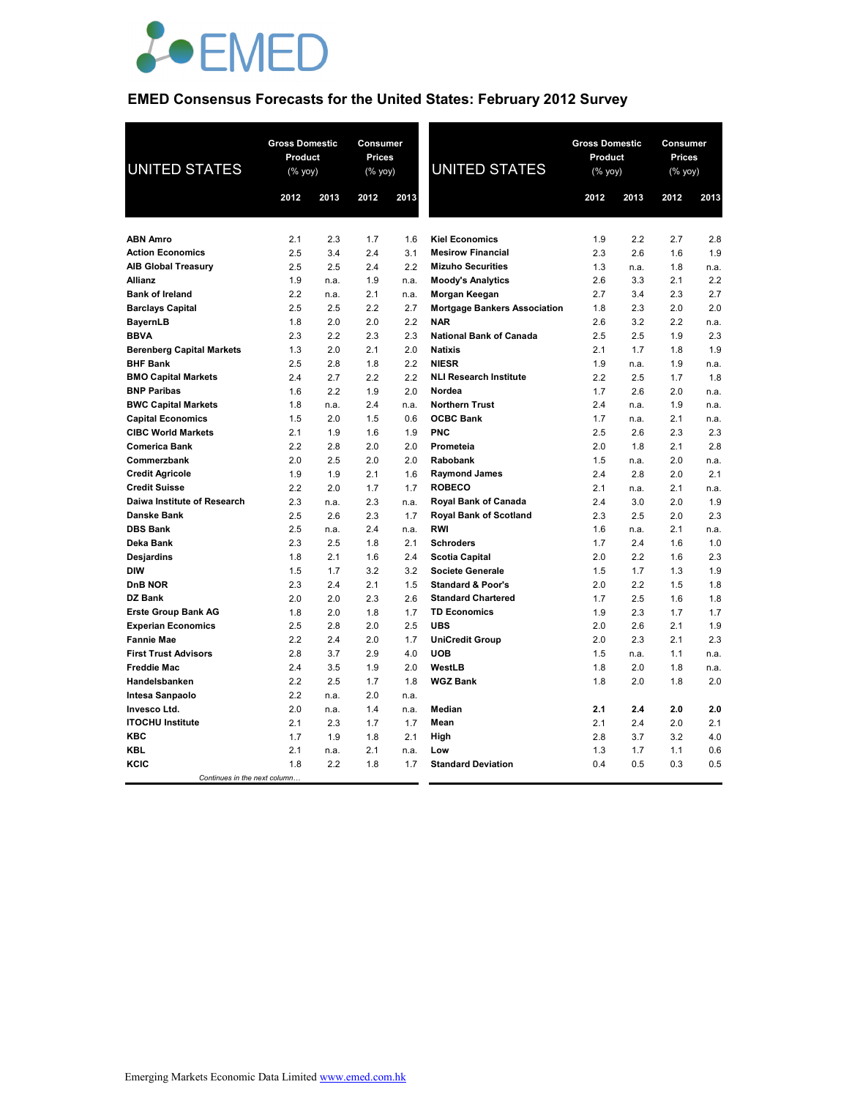

## **EMED Consensus Forecasts for the United States: February 2012 Survey**

| <b>UNITED STATES</b>                                    | <b>Gross Domestic</b><br>Product<br>$(% \mathsf{Y}\rightarrow \mathsf{Y})$ |             | Consumer<br><b>Prices</b><br>$(% \mathsf{Y}^{\prime }\mathsf{Y}^{\prime }\mathsf{Y}^{\prime })$ |             | <b>UNITED STATES</b>                                      | <b>Gross Domestic</b><br>Product<br>(% yoy) |            | Consumer<br>Prices<br>(% yoy) |            |
|---------------------------------------------------------|----------------------------------------------------------------------------|-------------|-------------------------------------------------------------------------------------------------|-------------|-----------------------------------------------------------|---------------------------------------------|------------|-------------------------------|------------|
|                                                         | 2012                                                                       | 2013        | 2012                                                                                            | 2013        |                                                           | 2012                                        | 2013       | 2012                          | 2013       |
|                                                         |                                                                            |             |                                                                                                 |             |                                                           |                                             |            |                               |            |
| <b>ABN Amro</b>                                         | 2.1                                                                        | 2.3         | 1.7                                                                                             | 1.6         | <b>Kiel Economics</b>                                     | 1.9                                         | 2.2        | 2.7                           | 2.8        |
| <b>Action Economics</b>                                 | 2.5                                                                        | 3.4         | 2.4                                                                                             | 3.1         | <b>Mesirow Financial</b>                                  | 2.3                                         | 2.6        | 1.6                           | 1.9        |
| <b>AIB Global Treasury</b>                              | 2.5                                                                        | 2.5         | 2.4                                                                                             | 2.2         | <b>Mizuho Securities</b>                                  | 1.3                                         | n.a.       | 1.8                           | n.a.       |
| <b>Allianz</b><br><b>Bank of Ireland</b>                | 1.9<br>2.2                                                                 | n.a.        | 1.9<br>2.1                                                                                      | n.a.        | <b>Moody's Analytics</b>                                  | 2.6<br>2.7                                  | 3.3<br>3.4 | 2.1<br>2.3                    | 2.2<br>2.7 |
| <b>Barclays Capital</b>                                 | 2.5                                                                        | n.a.<br>2.5 | 2.2                                                                                             | n.a.<br>2.7 | Morgan Keegan<br><b>Mortgage Bankers Association</b>      | 1.8                                         | 2.3        | 2.0                           | 2.0        |
| <b>BayernLB</b>                                         | 1.8                                                                        | 2.0         | 2.0                                                                                             | 2.2         | <b>NAR</b>                                                | 2.6                                         | 3.2        | 2.2                           | n.a.       |
| <b>BBVA</b>                                             | 2.3                                                                        | 2.2         | 2.3                                                                                             | 2.3         | <b>National Bank of Canada</b>                            | 2.5                                         | 2.5        | 1.9                           | 2.3        |
| <b>Berenberg Capital Markets</b>                        | 1.3                                                                        | 2.0         | 2.1                                                                                             | 2.0         | <b>Natixis</b>                                            | 2.1                                         | 1.7        | 1.8                           | 1.9        |
| <b>BHF Bank</b>                                         | 2.5                                                                        | 2.8         | 1.8                                                                                             | 2.2         | <b>NIESR</b>                                              | 1.9                                         | n.a.       | 1.9                           | n.a.       |
| <b>BMO Capital Markets</b>                              | 2.4                                                                        | 2.7         | 2.2                                                                                             | 2.2         | <b>NLI Research Institute</b>                             | 2.2                                         | 2.5        | 1.7                           | 1.8        |
| <b>BNP Paribas</b>                                      | 1.6                                                                        | 2.2         | 1.9                                                                                             | 2.0         | Nordea                                                    | 1.7                                         | 2.6        | 2.0                           | n.a.       |
| <b>BWC Capital Markets</b>                              | 1.8                                                                        | n.a.        | 2.4                                                                                             | n.a.        | <b>Northern Trust</b>                                     | 2.4                                         | n.a.       | 1.9                           | n.a.       |
| <b>Capital Economics</b>                                | 1.5                                                                        | 2.0         | 1.5                                                                                             | 0.6         | <b>OCBC Bank</b>                                          | 1.7                                         | n.a.       | 2.1                           | n.a.       |
| <b>CIBC World Markets</b>                               | 2.1                                                                        | 1.9         | 1.6                                                                                             | 1.9         | <b>PNC</b>                                                | 2.5                                         | 2.6        | 2.3                           | 2.3        |
| <b>Comerica Bank</b>                                    | 2.2                                                                        | 2.8         | 2.0                                                                                             | 2.0         | Prometeia                                                 | 2.0                                         | 1.8        | 2.1                           | 2.8        |
| Commerzbank                                             | 2.0                                                                        | 2.5         | 2.0                                                                                             | 2.0         | <b>Rabobank</b>                                           | 1.5                                         | n.a.       | 2.0                           | n.a.       |
| <b>Credit Agricole</b>                                  | 1.9                                                                        | 1.9         | 2.1                                                                                             | 1.6         | <b>Raymond James</b>                                      | 2.4                                         | 2.8        | 2.0                           | 2.1        |
| <b>Credit Suisse</b>                                    | 2.2                                                                        | 2.0         | 1.7                                                                                             | 1.7         | <b>ROBECO</b>                                             | 2.1                                         | n.a.       | 2.1                           | n.a.       |
| Daiwa Institute of Research                             | 2.3                                                                        | n.a.        | 2.3                                                                                             | n.a.        | <b>Royal Bank of Canada</b>                               | 2.4                                         | 3.0        | 2.0                           | 1.9        |
| <b>Danske Bank</b>                                      | 2.5                                                                        | 2.6         | 2.3                                                                                             | 1.7         | <b>Royal Bank of Scotland</b>                             | 2.3                                         | 2.5        | 2.0                           | 2.3        |
| <b>DBS Bank</b>                                         | 2.5                                                                        | n.a.        | 2.4                                                                                             | n.a.        | <b>RWI</b>                                                | 1.6                                         | n.a.       | 2.1                           | n.a.       |
| Deka Bank                                               | 2.3                                                                        | 2.5         | 1.8                                                                                             | 2.1         | <b>Schroders</b>                                          | 1.7                                         | 2.4        | 1.6                           | 1.0        |
| <b>Desjardins</b>                                       | 1.8                                                                        | 2.1         | 1.6                                                                                             | 2.4         | <b>Scotia Capital</b>                                     | 2.0                                         | 2.2        | 1.6                           | 2.3        |
| <b>DIW</b>                                              | 1.5                                                                        | 1.7         | 3.2                                                                                             | 3.2         | <b>Societe Generale</b>                                   | 1.5                                         | 1.7        | 1.3                           | 1.9        |
| <b>DnB NOR</b><br>DZ Bank                               | 2.3                                                                        | 2.4         | 2.1                                                                                             | 1.5         | <b>Standard &amp; Poor's</b><br><b>Standard Chartered</b> | 2.0                                         | 2.2        | 1.5                           | 1.8        |
|                                                         | 2.0<br>1.8                                                                 | 2.0<br>2.0  | 2.3<br>1.8                                                                                      | 2.6<br>1.7  | <b>TD Economics</b>                                       | 1.7<br>1.9                                  | 2.5<br>2.3 | 1.6<br>1.7                    | 1.8<br>1.7 |
| <b>Erste Group Bank AG</b><br><b>Experian Economics</b> | 2.5                                                                        | 2.8         | 2.0                                                                                             | 2.5         | <b>UBS</b>                                                | 2.0                                         | 2.6        | 2.1                           | 1.9        |
| <b>Fannie Mae</b>                                       | 2.2                                                                        | 2.4         | 2.0                                                                                             | 1.7         | <b>UniCredit Group</b>                                    | 2.0                                         | 2.3        | 2.1                           | 2.3        |
| <b>First Trust Advisors</b>                             | 2.8                                                                        | 3.7         | 2.9                                                                                             | 4.0         | <b>UOB</b>                                                | 1.5                                         | n.a.       | 1.1                           | n.a.       |
| <b>Freddie Mac</b>                                      | 2.4                                                                        | 3.5         | 1.9                                                                                             | 2.0         | WestLB                                                    | 1.8                                         | 2.0        | 1.8                           | n.a.       |
| Handelsbanken                                           | 2.2                                                                        | 2.5         | 1.7                                                                                             | 1.8         | <b>WGZ Bank</b>                                           | 1.8                                         | 2.0        | 1.8                           | 2.0        |
| Intesa Sanpaolo                                         | 2.2                                                                        | n.a.        | 2.0                                                                                             | n.a.        |                                                           |                                             |            |                               |            |
| Invesco Ltd.                                            | 2.0                                                                        | n.a.        | 1.4                                                                                             | n.a.        | <b>Median</b>                                             | 2.1                                         | 2.4        | 2.0                           | 2.0        |
| <b>ITOCHU Institute</b>                                 | 2.1                                                                        | 2.3         | 1.7                                                                                             | 1.7         | Mean                                                      | 2.1                                         | 2.4        | 2.0                           | 2.1        |
| KBC                                                     | 1.7                                                                        | 1.9         | 1.8                                                                                             | 2.1         | High                                                      | 2.8                                         | 3.7        | 3.2                           | 4.0        |
| <b>KBL</b>                                              | 2.1                                                                        | n.a.        | 2.1                                                                                             | n.a.        | Low                                                       | 1.3                                         | 1.7        | 1.1                           | 0.6        |
| KCIC                                                    | 1.8                                                                        | 2.2         | 1.8                                                                                             | 1.7         | <b>Standard Deviation</b>                                 | 0.4                                         | 0.5        | 0.3                           | 0.5        |
| Continues in the next column.                           |                                                                            |             |                                                                                                 |             |                                                           |                                             |            |                               |            |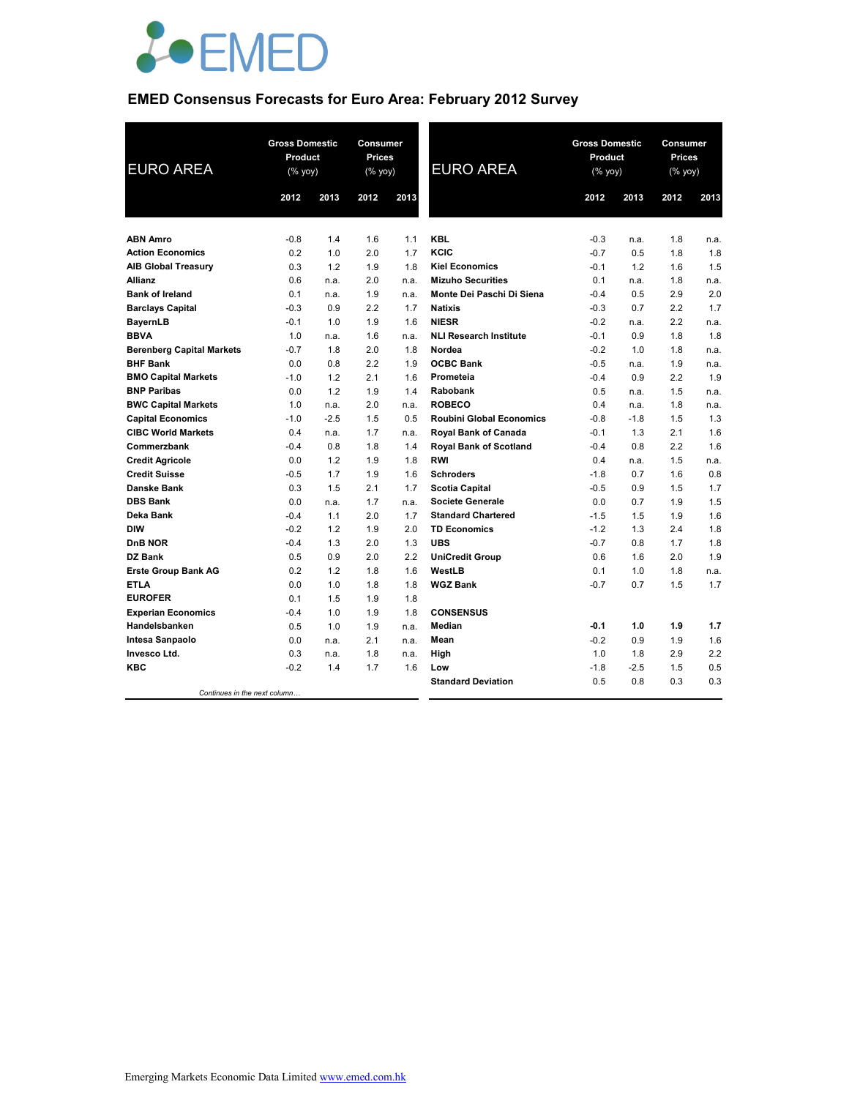

# **EMED Consensus Forecasts for Euro Area: February 2012 Survey**

| <b>EURO AREA</b>                 | <b>Gross Domestic</b><br>Product<br>(% yoy) |        | <b>Consumer</b><br><b>Prices</b><br>(% yoy) |      | <b>EURO AREA</b>                | <b>Gross Domestic</b><br>Product<br>(% yoy) |        | Consumer<br><b>Prices</b><br>(% yoy) |      |
|----------------------------------|---------------------------------------------|--------|---------------------------------------------|------|---------------------------------|---------------------------------------------|--------|--------------------------------------|------|
|                                  | 2012                                        | 2013   | 2012                                        | 2013 |                                 | 2012                                        | 2013   | 2012                                 | 2013 |
|                                  |                                             |        |                                             |      |                                 |                                             |        |                                      |      |
| <b>ABN Amro</b>                  | $-0.8$                                      | 1.4    | 1.6                                         | 1.1  | <b>KBL</b>                      | $-0.3$                                      | n.a.   | 1.8                                  | n.a. |
| <b>Action Economics</b>          | 0.2                                         | 1.0    | 2.0                                         | 1.7  | KCIC                            | $-0.7$                                      | 0.5    | 1.8                                  | 1.8  |
| <b>AIB Global Treasury</b>       | 0.3                                         | 1.2    | 1.9                                         | 1.8  | <b>Kiel Economics</b>           | $-0.1$                                      | 1.2    | 1.6                                  | 1.5  |
| <b>Allianz</b>                   | 0.6                                         | n.a.   | 2.0                                         | n.a. | <b>Mizuho Securities</b>        | 0.1                                         | n.a.   | 1.8                                  | n.a. |
| <b>Bank of Ireland</b>           | 0.1                                         | n.a.   | 1.9                                         | n.a. | Monte Dei Paschi Di Siena       | $-0.4$                                      | 0.5    | 2.9                                  | 2.0  |
| <b>Barclays Capital</b>          | $-0.3$                                      | 0.9    | 2.2                                         | 1.7  | <b>Natixis</b>                  | $-0.3$                                      | 0.7    | 2.2                                  | 1.7  |
| <b>BayernLB</b>                  | $-0.1$                                      | 1.0    | 1.9                                         | 1.6  | <b>NIESR</b>                    | $-0.2$                                      | n.a.   | 2.2                                  | n.a. |
| <b>BBVA</b>                      | 1.0                                         | n.a.   | 1.6                                         | n.a. | <b>NLI Research Institute</b>   | $-0.1$                                      | 0.9    | 1.8                                  | 1.8  |
| <b>Berenberg Capital Markets</b> | $-0.7$                                      | 1.8    | 2.0                                         | 1.8  | Nordea                          | $-0.2$                                      | 1.0    | 1.8                                  | n.a. |
| <b>BHF Bank</b>                  | 0.0                                         | 0.8    | 2.2                                         | 1.9  | <b>OCBC Bank</b>                | $-0.5$                                      | n.a.   | 1.9                                  | n.a. |
| <b>BMO Capital Markets</b>       | $-1.0$                                      | 1.2    | 2.1                                         | 1.6  | Prometeia                       | $-0.4$                                      | 0.9    | 2.2                                  | 1.9  |
| <b>BNP Paribas</b>               | 0.0                                         | 1.2    | 1.9                                         | 1.4  | <b>Rabobank</b>                 | 0.5                                         | n.a.   | 1.5                                  | n.a. |
| <b>BWC Capital Markets</b>       | 1.0                                         | n.a.   | 2.0                                         | n.a. | <b>ROBECO</b>                   | 0.4                                         | n.a.   | 1.8                                  | n.a. |
| <b>Capital Economics</b>         | $-1.0$                                      | $-2.5$ | 1.5                                         | 0.5  | <b>Roubini Global Economics</b> | $-0.8$                                      | $-1.8$ | 1.5                                  | 1.3  |
| <b>CIBC World Markets</b>        | 0.4                                         | n.a.   | 1.7                                         | n.a. | Royal Bank of Canada            | $-0.1$                                      | 1.3    | 2.1                                  | 1.6  |
| Commerzbank                      | $-0.4$                                      | 0.8    | 1.8                                         | 1.4  | <b>Royal Bank of Scotland</b>   | $-0.4$                                      | 0.8    | 2.2                                  | 1.6  |
| <b>Credit Agricole</b>           | 0.0                                         | 1.2    | 1.9                                         | 1.8  | <b>RWI</b>                      | 0.4                                         | n.a.   | 1.5                                  | n.a. |
| <b>Credit Suisse</b>             | $-0.5$                                      | 1.7    | 1.9                                         | 1.6  | <b>Schroders</b>                | $-1.8$                                      | 0.7    | 1.6                                  | 0.8  |
| Danske Bank                      | 0.3                                         | 1.5    | 2.1                                         | 1.7  | <b>Scotia Capital</b>           | $-0.5$                                      | 0.9    | 1.5                                  | 1.7  |
| <b>DBS Bank</b>                  | 0.0                                         | n.a.   | 1.7                                         | n.a. | <b>Societe Generale</b>         | 0.0                                         | 0.7    | 1.9                                  | 1.5  |
| Deka Bank                        | $-0.4$                                      | 1.1    | 2.0                                         | 1.7  | <b>Standard Chartered</b>       | $-1.5$                                      | 1.5    | 1.9                                  | 1.6  |
| <b>DIW</b>                       | $-0.2$                                      | 1.2    | 1.9                                         | 2.0  | <b>TD Economics</b>             | $-1.2$                                      | 1.3    | 2.4                                  | 1.8  |
| <b>DnB NOR</b>                   | $-0.4$                                      | 1.3    | 2.0                                         | 1.3  | <b>UBS</b>                      | $-0.7$                                      | 0.8    | 1.7                                  | 1.8  |
| DZ Bank                          | 0.5                                         | 0.9    | 2.0                                         | 2.2  | <b>UniCredit Group</b>          | 0.6                                         | 1.6    | 2.0                                  | 1.9  |
| <b>Erste Group Bank AG</b>       | 0.2                                         | 1.2    | 1.8                                         | 1.6  | WestLB                          | 0.1                                         | 1.0    | 1.8                                  | n.a. |
| <b>ETLA</b>                      | 0.0                                         | 1.0    | 1.8                                         | 1.8  | <b>WGZ Bank</b>                 | $-0.7$                                      | 0.7    | 1.5                                  | 1.7  |
| <b>EUROFER</b>                   | 0.1                                         | 1.5    | 1.9                                         | 1.8  |                                 |                                             |        |                                      |      |
| <b>Experian Economics</b>        | $-0.4$                                      | 1.0    | 1.9                                         | 1.8  | <b>CONSENSUS</b>                |                                             |        |                                      |      |
| Handelsbanken                    | 0.5                                         | 1.0    | 1.9                                         | n.a. | <b>Median</b>                   | $-0.1$                                      | 1.0    | 1.9                                  | 1.7  |
| Intesa Sanpaolo                  | 0.0                                         | n.a.   | 2.1                                         | n.a. | Mean                            | $-0.2$                                      | 0.9    | 1.9                                  | 1.6  |
| Invesco Ltd.                     | 0.3                                         | n.a.   | 1.8                                         | n.a. | High                            | 1.0                                         | 1.8    | 2.9                                  | 2.2  |
| <b>KBC</b>                       | $-0.2$                                      | 1.4    | 1.7                                         | 1.6  | Low                             | $-1.8$                                      | $-2.5$ | 1.5                                  | 0.5  |
|                                  |                                             |        |                                             |      | <b>Standard Deviation</b>       | 0.5                                         | 0.8    | 0.3                                  | 0.3  |
| Continues in the next column     |                                             |        |                                             |      |                                 |                                             |        |                                      |      |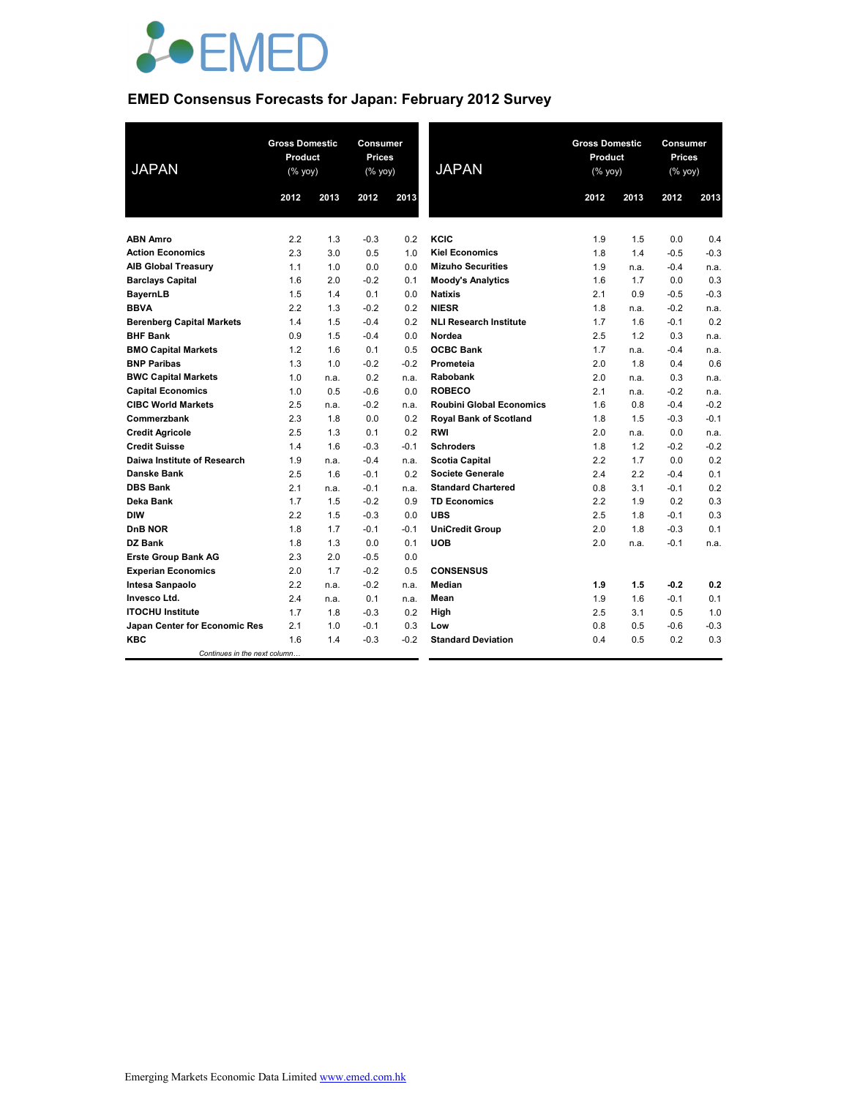

# **EMED Consensus Forecasts for Japan: February 2012 Survey**

| <b>JAPAN</b>                     | <b>Gross Domestic</b><br>Product<br>(% yoy) |      | <b>Consumer</b><br><b>Prices</b><br>$(%$ yoy) |        | <b>JAPAN</b>                    | <b>Gross Domestic</b><br>Product<br>(% yoy) |      | Consumer<br><b>Prices</b><br>(% yoy) |        |
|----------------------------------|---------------------------------------------|------|-----------------------------------------------|--------|---------------------------------|---------------------------------------------|------|--------------------------------------|--------|
|                                  | 2012                                        | 2013 | 2012                                          | 2013   |                                 | 2012                                        | 2013 | 2012                                 | 2013   |
|                                  |                                             |      |                                               |        |                                 |                                             |      |                                      |        |
| <b>ABN Amro</b>                  | 2.2                                         | 1.3  | $-0.3$                                        | 0.2    | KCIC                            | 1.9                                         | 1.5  | 0.0                                  | 0.4    |
| <b>Action Economics</b>          | 2.3                                         | 3.0  | 0.5                                           | 1.0    | <b>Kiel Economics</b>           | 1.8                                         | 1.4  | $-0.5$                               | $-0.3$ |
| <b>AIB Global Treasury</b>       | 1.1                                         | 1.0  | 0.0                                           | 0.0    | <b>Mizuho Securities</b>        | 1.9                                         | n.a. | $-0.4$                               | n.a.   |
| <b>Barclays Capital</b>          | 1.6                                         | 2.0  | $-0.2$                                        | 0.1    | <b>Moody's Analytics</b>        | 1.6                                         | 1.7  | 0.0                                  | 0.3    |
| <b>BayernLB</b>                  | 1.5                                         | 1.4  | 0.1                                           | 0.0    | <b>Natixis</b>                  | 2.1                                         | 0.9  | $-0.5$                               | $-0.3$ |
| <b>BBVA</b>                      | 2.2                                         | 1.3  | $-0.2$                                        | 0.2    | <b>NIESR</b>                    | 1.8                                         | n.a. | $-0.2$                               | n.a.   |
| <b>Berenberg Capital Markets</b> | 1.4                                         | 1.5  | $-0.4$                                        | 0.2    | <b>NLI Research Institute</b>   | 1.7                                         | 1.6  | $-0.1$                               | 0.2    |
| <b>BHF Bank</b>                  | 0.9                                         | 1.5  | $-0.4$                                        | 0.0    | Nordea                          | 2.5                                         | 1.2  | 0.3                                  | n.a.   |
| <b>BMO Capital Markets</b>       | 1.2                                         | 1.6  | 0.1                                           | 0.5    | <b>OCBC Bank</b>                | 1.7                                         | n.a. | $-0.4$                               | n.a.   |
| <b>BNP Paribas</b>               | 1.3                                         | 1.0  | $-0.2$                                        | $-0.2$ | Prometeia                       | 2.0                                         | 1.8  | 0.4                                  | 0.6    |
| <b>BWC Capital Markets</b>       | 1.0                                         | n.a. | 0.2                                           | n.a.   | <b>Rabobank</b>                 | 2.0                                         | n.a. | 0.3                                  | n.a.   |
| <b>Capital Economics</b>         | 1.0                                         | 0.5  | $-0.6$                                        | 0.0    | <b>ROBECO</b>                   | 2.1                                         | n.a. | $-0.2$                               | n.a.   |
| <b>CIBC World Markets</b>        | 2.5                                         | n.a. | $-0.2$                                        | n.a.   | <b>Roubini Global Economics</b> | 1.6                                         | 0.8  | $-0.4$                               | $-0.2$ |
| Commerzbank                      | 2.3                                         | 1.8  | 0.0                                           | 0.2    | <b>Royal Bank of Scotland</b>   | 1.8                                         | 1.5  | $-0.3$                               | $-0.1$ |
| <b>Credit Agricole</b>           | 2.5                                         | 1.3  | 0.1                                           | 0.2    | <b>RWI</b>                      | 2.0                                         | n.a. | 0.0                                  | n.a.   |
| <b>Credit Suisse</b>             | 1.4                                         | 1.6  | $-0.3$                                        | $-0.1$ | <b>Schroders</b>                | 1.8                                         | 1.2  | $-0.2$                               | $-0.2$ |
| Daiwa Institute of Research      | 1.9                                         | n.a. | $-0.4$                                        | n.a.   | <b>Scotia Capital</b>           | 2.2                                         | 1.7  | 0.0                                  | 0.2    |
| <b>Danske Bank</b>               | 2.5                                         | 1.6  | $-0.1$                                        | 0.2    | <b>Societe Generale</b>         | 2.4                                         | 2.2  | $-0.4$                               | 0.1    |
| <b>DBS Bank</b>                  | 2.1                                         | n.a. | $-0.1$                                        | n.a.   | <b>Standard Chartered</b>       | 0.8                                         | 3.1  | $-0.1$                               | 0.2    |
| Deka Bank                        | 1.7                                         | 1.5  | $-0.2$                                        | 0.9    | <b>TD Economics</b>             | 2.2                                         | 1.9  | 0.2                                  | 0.3    |
| <b>DIW</b>                       | 2.2                                         | 1.5  | $-0.3$                                        | 0.0    | <b>UBS</b>                      | 2.5                                         | 1.8  | $-0.1$                               | 0.3    |
| <b>DnB NOR</b>                   | 1.8                                         | 1.7  | $-0.1$                                        | $-0.1$ | <b>UniCredit Group</b>          | 2.0                                         | 1.8  | $-0.3$                               | 0.1    |
| DZ Bank                          | 1.8                                         | 1.3  | 0.0                                           | 0.1    | <b>UOB</b>                      | 2.0                                         | n.a. | $-0.1$                               | n.a.   |
| <b>Erste Group Bank AG</b>       | 2.3                                         | 2.0  | $-0.5$                                        | 0.0    |                                 |                                             |      |                                      |        |
| <b>Experian Economics</b>        | 2.0                                         | 1.7  | $-0.2$                                        | 0.5    | <b>CONSENSUS</b>                |                                             |      |                                      |        |
| Intesa Sanpaolo                  | 2.2                                         | n.a. | $-0.2$                                        | n.a.   | Median                          | 1.9                                         | 1.5  | $-0.2$                               | 0.2    |
| Invesco Ltd.                     | 2.4                                         | n.a. | 0.1                                           | n.a.   | Mean                            | 1.9                                         | 1.6  | $-0.1$                               | 0.1    |
| <b>ITOCHU Institute</b>          | 1.7                                         | 1.8  | $-0.3$                                        | 0.2    | High                            | 2.5                                         | 3.1  | 0.5                                  | 1.0    |
| Japan Center for Economic Res    | 2.1                                         | 1.0  | $-0.1$                                        | 0.3    | Low                             | 0.8                                         | 0.5  | $-0.6$                               | $-0.3$ |
| <b>KBC</b>                       | 1.6                                         | 1.4  | $-0.3$                                        | $-0.2$ | <b>Standard Deviation</b>       | 0.4                                         | 0.5  | 0.2                                  | 0.3    |
| Continues in the next column     |                                             |      |                                               |        |                                 |                                             |      |                                      |        |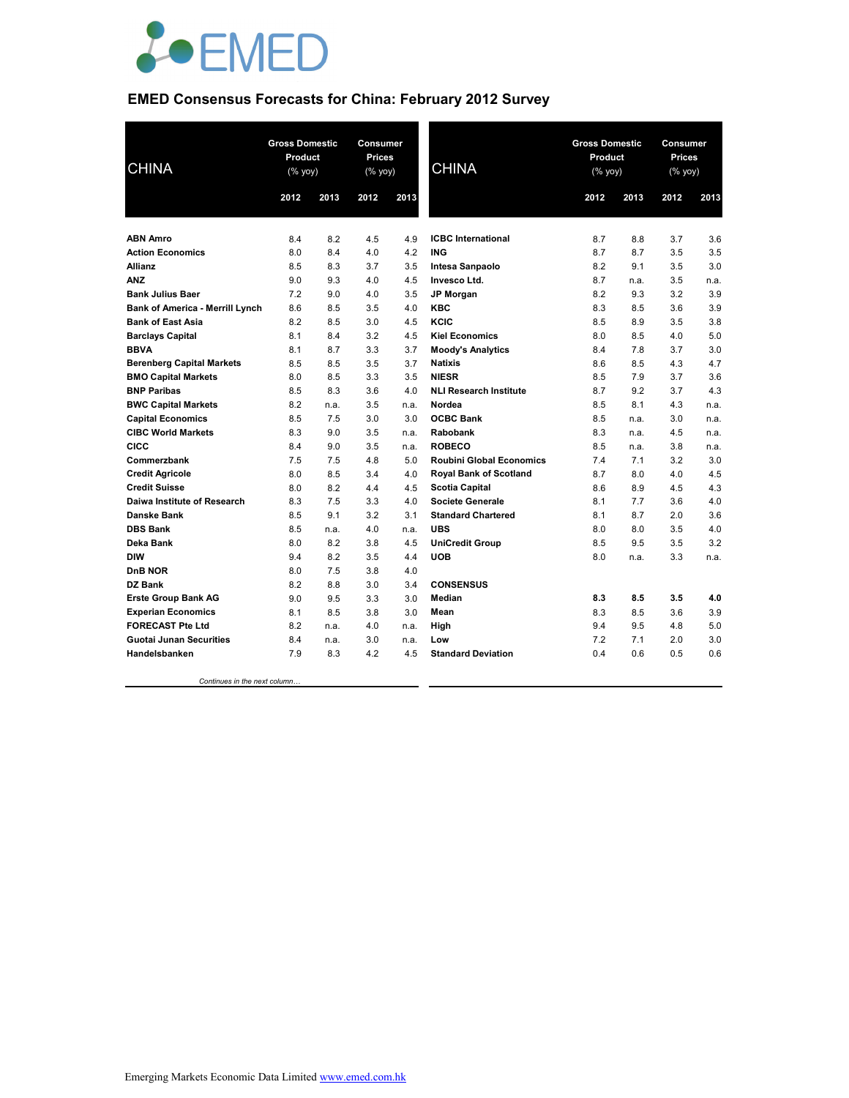

# **EMED Consensus Forecasts for China: February 2012 Survey**

| <b>CHINA</b>                           |      | <b>Gross Domestic</b><br><b>Consumer</b><br>Product<br><b>Prices</b><br><b>CHINA</b><br>$(% \mathsf{Y}^{\prime }\mathsf{Y}^{\prime }\mathsf{Y}^{\prime })$<br>(% yoy) |      |      | <b>Gross Domestic</b><br>Product<br>(% yoy) |      | Consumer<br><b>Prices</b><br>$(% \mathsf{Y}^{\prime }\mathsf{Y}^{\prime }\mathsf{Y}^{\prime })$ |      |      |
|----------------------------------------|------|-----------------------------------------------------------------------------------------------------------------------------------------------------------------------|------|------|---------------------------------------------|------|-------------------------------------------------------------------------------------------------|------|------|
|                                        | 2012 | 2013                                                                                                                                                                  | 2012 | 2013 |                                             | 2012 | 2013                                                                                            | 2012 | 2013 |
|                                        |      |                                                                                                                                                                       |      |      |                                             |      |                                                                                                 |      |      |
| <b>ABN Amro</b>                        | 8.4  | 8.2                                                                                                                                                                   | 4.5  | 4.9  | <b>ICBC</b> International                   | 8.7  | 8.8                                                                                             | 3.7  | 3.6  |
| <b>Action Economics</b>                | 8.0  | 8.4                                                                                                                                                                   | 4.0  | 4.2  | <b>ING</b>                                  | 8.7  | 8.7                                                                                             | 3.5  | 3.5  |
| <b>Allianz</b>                         | 8.5  | 8.3                                                                                                                                                                   | 3.7  | 3.5  | Intesa Sanpaolo                             | 8.2  | 9.1                                                                                             | 3.5  | 3.0  |
| <b>ANZ</b>                             | 9.0  | 9.3                                                                                                                                                                   | 4.0  | 4.5  | Invesco Ltd.                                | 8.7  | n.a.                                                                                            | 3.5  | n.a. |
| <b>Bank Julius Baer</b>                | 7.2  | 9.0                                                                                                                                                                   | 4.0  | 3.5  | <b>JP Morgan</b>                            | 8.2  | 9.3                                                                                             | 3.2  | 3.9  |
| <b>Bank of America - Merrill Lynch</b> | 8.6  | 8.5                                                                                                                                                                   | 3.5  | 4.0  | <b>KBC</b>                                  | 8.3  | 8.5                                                                                             | 3.6  | 3.9  |
| <b>Bank of East Asia</b>               | 8.2  | 8.5                                                                                                                                                                   | 3.0  | 4.5  | KCIC                                        | 8.5  | 8.9                                                                                             | 3.5  | 3.8  |
| <b>Barclays Capital</b>                | 8.1  | 8.4                                                                                                                                                                   | 3.2  | 4.5  | <b>Kiel Economics</b>                       | 8.0  | 8.5                                                                                             | 4.0  | 5.0  |
| <b>BBVA</b>                            | 8.1  | 8.7                                                                                                                                                                   | 3.3  | 3.7  | <b>Moody's Analytics</b>                    | 8.4  | 7.8                                                                                             | 3.7  | 3.0  |
| <b>Berenberg Capital Markets</b>       | 8.5  | 8.5                                                                                                                                                                   | 3.5  | 3.7  | <b>Natixis</b>                              | 8.6  | 8.5                                                                                             | 4.3  | 4.7  |
| <b>BMO Capital Markets</b>             | 8.0  | 8.5                                                                                                                                                                   | 3.3  | 3.5  | <b>NIESR</b>                                | 8.5  | 7.9                                                                                             | 3.7  | 3.6  |
| <b>BNP Paribas</b>                     | 8.5  | 8.3                                                                                                                                                                   | 3.6  | 4.0  | <b>NLI Research Institute</b>               | 8.7  | 9.2                                                                                             | 3.7  | 4.3  |
| <b>BWC Capital Markets</b>             | 8.2  | n.a.                                                                                                                                                                  | 3.5  | n.a. | <b>Nordea</b>                               | 8.5  | 8.1                                                                                             | 4.3  | n.a. |
| <b>Capital Economics</b>               | 8.5  | 7.5                                                                                                                                                                   | 3.0  | 3.0  | <b>OCBC Bank</b>                            | 8.5  | n.a.                                                                                            | 3.0  | n.a. |
| <b>CIBC World Markets</b>              | 8.3  | 9.0                                                                                                                                                                   | 3.5  | n.a. | Rabobank                                    | 8.3  | n.a.                                                                                            | 4.5  | n.a. |
| <b>CICC</b>                            | 8.4  | 9.0                                                                                                                                                                   | 3.5  | n.a. | <b>ROBECO</b>                               | 8.5  | n.a.                                                                                            | 3.8  | n.a. |
| Commerzbank                            | 7.5  | 7.5                                                                                                                                                                   | 4.8  | 5.0  | <b>Roubini Global Economics</b>             | 7.4  | 7.1                                                                                             | 3.2  | 3.0  |
| <b>Credit Agricole</b>                 | 8.0  | 8.5                                                                                                                                                                   | 3.4  | 4.0  | <b>Royal Bank of Scotland</b>               | 8.7  | 8.0                                                                                             | 4.0  | 4.5  |
| <b>Credit Suisse</b>                   | 8.0  | 8.2                                                                                                                                                                   | 4.4  | 4.5  | <b>Scotia Capital</b>                       | 8.6  | 8.9                                                                                             | 4.5  | 4.3  |
| Daiwa Institute of Research            | 8.3  | 7.5                                                                                                                                                                   | 3.3  | 4.0  | <b>Societe Generale</b>                     | 8.1  | 7.7                                                                                             | 3.6  | 4.0  |
| <b>Danske Bank</b>                     | 8.5  | 9.1                                                                                                                                                                   | 3.2  | 3.1  | <b>Standard Chartered</b>                   | 8.1  | 8.7                                                                                             | 2.0  | 3.6  |
| <b>DBS Bank</b>                        | 8.5  | n.a.                                                                                                                                                                  | 4.0  | n.a. | <b>UBS</b>                                  | 8.0  | 8.0                                                                                             | 3.5  | 4.0  |
| Deka Bank                              | 8.0  | 8.2                                                                                                                                                                   | 3.8  | 4.5  | <b>UniCredit Group</b>                      | 8.5  | 9.5                                                                                             | 3.5  | 3.2  |
| <b>DIW</b>                             | 9.4  | 8.2                                                                                                                                                                   | 3.5  | 4.4  | <b>UOB</b>                                  | 8.0  | n.a.                                                                                            | 3.3  | n.a. |
| DnB NOR                                | 8.0  | 7.5                                                                                                                                                                   | 3.8  | 4.0  |                                             |      |                                                                                                 |      |      |
| <b>DZ Bank</b>                         | 8.2  | 8.8                                                                                                                                                                   | 3.0  | 3.4  | <b>CONSENSUS</b>                            |      |                                                                                                 |      |      |
| <b>Erste Group Bank AG</b>             | 9.0  | 9.5                                                                                                                                                                   | 3.3  | 3.0  | Median                                      | 8.3  | 8.5                                                                                             | 3.5  | 4.0  |
| <b>Experian Economics</b>              | 8.1  | 8.5                                                                                                                                                                   | 3.8  | 3.0  | Mean                                        | 8.3  | 8.5                                                                                             | 3.6  | 3.9  |
| <b>FORECAST Pte Ltd</b>                | 8.2  | n.a.                                                                                                                                                                  | 4.0  | n.a. | High                                        | 9.4  | 9.5                                                                                             | 4.8  | 5.0  |
| <b>Guotai Junan Securities</b>         | 8.4  | n.a.                                                                                                                                                                  | 3.0  | n.a. | Low                                         | 7.2  | 7.1                                                                                             | 2.0  | 3.0  |
| Handelsbanken                          | 7.9  | 8.3                                                                                                                                                                   | 4.2  | 4.5  | <b>Standard Deviation</b>                   | 0.4  | 0.6                                                                                             | 0.5  | 0.6  |

 *Continues in the next column…*